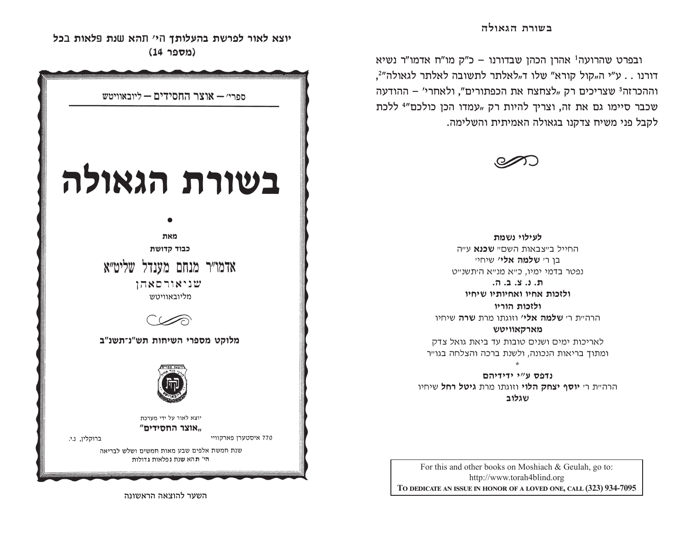ובפרט שהרועה<sup>ו</sup> אהרן הכהן שבדורנו – כ"ק מו"ח אדמו"ר נשיא דורנו . . ע"י ה"קול קורא" שלו ד"לאלתר לתשובה לאלתר לגאולה"?, וההכרזה<sup>3</sup> שצריכים רק "לצחצח את הכפתורים", ולאחרי' – ההודעה שכבר סיימו גם את זה, וצריך להיות רק "עמדו הכן כולכם"<sup>4</sup> ללכת לקבל פני משיח צדקנו בגאולה האמיתית והשלימה.



לעילוי נשמת החייל ב״צבאות השם״ **שכנא** ע״ה בו ר*י* **שלמה אלי'** שיחיי נפטר בדמי ימיו, כ״א מנ״א היתשנ״ט

 $\pi$ . t. 2.  $\pi$ .  $\pi$ . ולזכות אחיו ואחיותיו שיחיו

ולזכות הוריו הרה״ת ר׳ **שלמה אלי׳** וזוגתו מרת **שרה** שיחיו

מארקאוויטש לאריכות ימים ושנים טובות עד ביאת גואל צדק ומתוך בריאות הנכונה, ולשנת ברכה והצלחה בגו״ר

נדפס ע״י ידידיהם הרה״ת ר׳ **יוסף יצחק הלוי** וזוגתו מרת ג**יטל רחל** שיחיו שגלוב

For this and other books on Moshiach & Geulah, go to: http://www.torah4blind.org TO DEDICATE AN ISSUE IN HONOR OF A LOVED ONE, CALL (323) 934-7095

יוצא לאור לפרשת בהעלותך הי׳ תהא שנת פלאות בכל (מספר 14)



השער להוצאה הראשונה